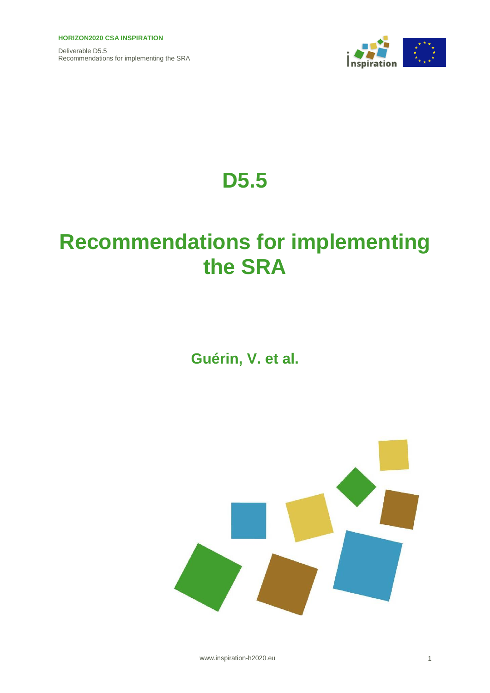

# **D5.5**

# **Recommendations for implementing the SRA**

## **Guérin, V. et al.**



www.inspiration-h2020.eu 1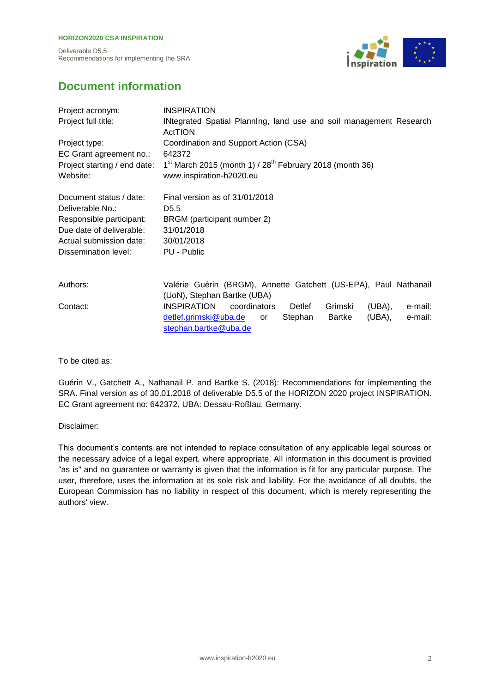Deliverable D5.5 Recommendations for implementing the SRA



## **Document information**

| Project acronym:             | <b>INSPIRATION</b>                                                            |  |  |  |
|------------------------------|-------------------------------------------------------------------------------|--|--|--|
| Project full title:          | INtegrated Spatial Planning, land use and soil management Research<br>ActTION |  |  |  |
| Project type:                | Coordination and Support Action (CSA)                                         |  |  |  |
| EC Grant agreement no.:      | 642372                                                                        |  |  |  |
| Project starting / end date: | $1^{st}$ March 2015 (month 1) / $28^{th}$ February 2018 (month 36)            |  |  |  |
| Website:                     | www.inspiration-h2020.eu                                                      |  |  |  |
| Document status / date:      | Final version as of 31/01/2018                                                |  |  |  |
| Deliverable No.:             | D <sub>5.5</sub>                                                              |  |  |  |
| Responsible participant:     | BRGM (participant number 2)                                                   |  |  |  |
| Due date of deliverable:     | 31/01/2018                                                                    |  |  |  |
| Actual submission date:      | 30/01/2018                                                                    |  |  |  |
| <b>Dissemination level:</b>  | PU - Public                                                                   |  |  |  |
| Authors:                     | Valérie Guérin (BRGM), Annette Gatchett (US-EPA), Paul Nathanail              |  |  |  |
|                              | (UoN), Stephan Bartke (UBA)                                                   |  |  |  |
| Contact:                     | <b>INSPIRATION</b><br>Grimski<br>coordinators<br>(UBA),<br>e-mail:<br>Detlef  |  |  |  |
|                              | detlef.grimski@uba.de<br>(UBA),<br>Stephan<br>Bartke<br>e-mail:<br>or         |  |  |  |
|                              | stephan.bartke@uba.de                                                         |  |  |  |

To be cited as:

Guérin V., Gatchett A., Nathanail P. and Bartke S. (2018): Recommendations for implementing the SRA. Final version as of 30.01.2018 of deliverable D5.5 of the HORIZON 2020 project INSPIRATION. EC Grant agreement no: 642372, UBA: Dessau-Roßlau, Germany.

Disclaimer:

This document's contents are not intended to replace consultation of any applicable legal sources or the necessary advice of a legal expert, where appropriate. All information in this document is provided "as is" and no guarantee or warranty is given that the information is fit for any particular purpose. The user, therefore, uses the information at its sole risk and liability. For the avoidance of all doubts, the European Commission has no liability in respect of this document, which is merely representing the authors' view.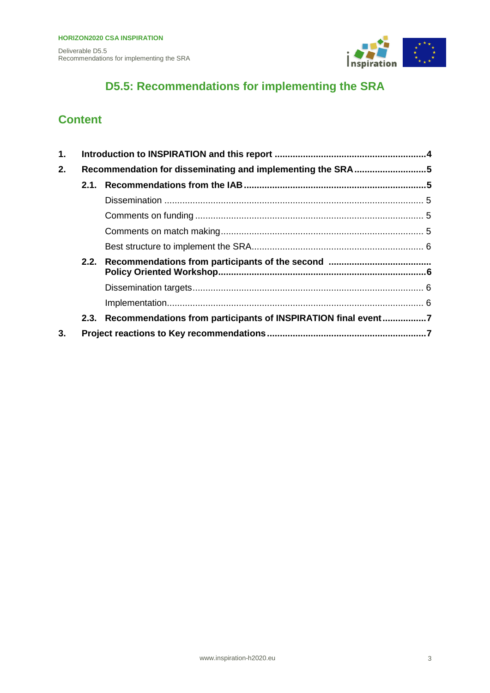

## **D5.5: Recommendations for implementing the SRA**

## **Content**

| 1. |      |                                                               |  |
|----|------|---------------------------------------------------------------|--|
| 2. |      | Recommendation for disseminating and implementing the SRA5    |  |
|    | 2.1. |                                                               |  |
|    |      |                                                               |  |
|    |      |                                                               |  |
|    |      |                                                               |  |
|    |      |                                                               |  |
|    |      |                                                               |  |
|    |      |                                                               |  |
|    |      |                                                               |  |
|    | 2.3. | Recommendations from participants of INSPIRATION final event7 |  |
| 3. |      |                                                               |  |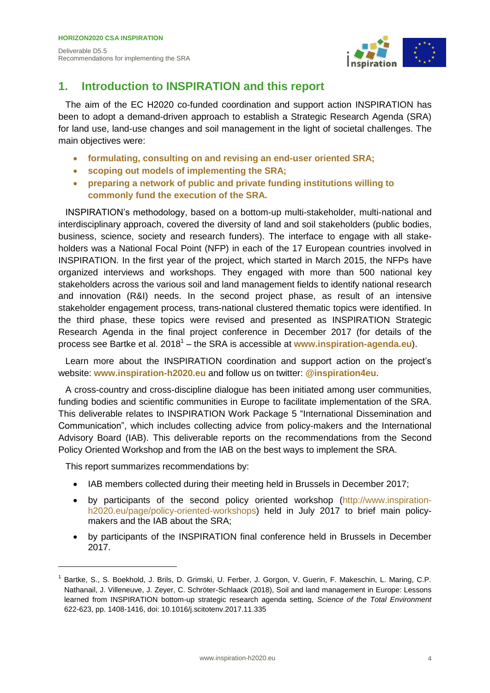

## <span id="page-3-0"></span>**1. Introduction to INSPIRATION and this report**

The aim of the EC H2020 co-funded coordination and support action INSPIRATION has been to adopt a demand-driven approach to establish a Strategic Research Agenda (SRA) for land use, land-use changes and soil management in the light of societal challenges. The main objectives were:

- **formulating, consulting on and revising an end-user oriented SRA;**
- **scoping out models of implementing the SRA;**
- **preparing a network of public and private funding institutions willing to commonly fund the execution of the SRA.**

INSPIRATION's methodology, based on a bottom-up multi-stakeholder, multi-national and interdisciplinary approach, covered the diversity of land and soil stakeholders (public bodies, business, science, society and research funders). The interface to engage with all stakeholders was a National Focal Point (NFP) in each of the 17 European countries involved in INSPIRATION. In the first year of the project, which started in March 2015, the NFPs have organized interviews and workshops. They engaged with more than 500 national key stakeholders across the various soil and land management fields to identify national research and innovation (R&I) needs. In the second project phase, as result of an intensive stakeholder engagement process, trans-national clustered thematic topics were identified. In the third phase, these topics were revised and presented as INSPIRATION Strategic Research Agenda in the final project conference in December 2017 (for details of the process see Bartke et al. 2018<sup>1</sup> – the SRA is accessible at [www.inspiration-agenda.eu](http://www.inspiration-agenda.eu/)).

Learn more about the INSPIRATION coordination and support action on the project's website: **www.inspiration-h2020.eu** and follow us on twitter: **@inspiration4eu**.

A cross-country and cross-discipline dialogue has been initiated among user communities, funding bodies and scientific communities in Europe to facilitate implementation of the SRA. This deliverable relates to INSPIRATION Work Package 5 "International Dissemination and Communication", which includes collecting advice from policy-makers and the International Advisory Board (IAB). This deliverable reports on the recommendations from the Second Policy Oriented Workshop and from the IAB on the best ways to implement the SRA.

This report summarizes recommendations by:

- IAB members collected during their meeting held in Brussels in December 2017;
- by participants of the second policy oriented workshop [\(http://www.inspiration](http://www.inspiration-h2020.eu/page/policy-oriented-workshops)[h2020.eu/page/policy-oriented-workshops\)](http://www.inspiration-h2020.eu/page/policy-oriented-workshops) held in July 2017 to brief main policymakers and the IAB about the SRA;
- by participants of the INSPIRATION final conference held in Brussels in December 2017.

<sup>1</sup> Bartke, S., S. Boekhold, J. Brils, D. Grimski, U. Ferber, J. Gorgon, V. Guerin, F. Makeschin, L. Maring, C.P. Nathanail, J. Villeneuve, J. Zeyer, C. Schröter-Schlaack (2018), Soil and land management in Europe: Lessons learned from INSPIRATION bottom-up strategic research agenda setting, *Science of the Total Environment* 622-623, pp. 1408-1416, doi: 10.1016/j.scitotenv.2017.11.335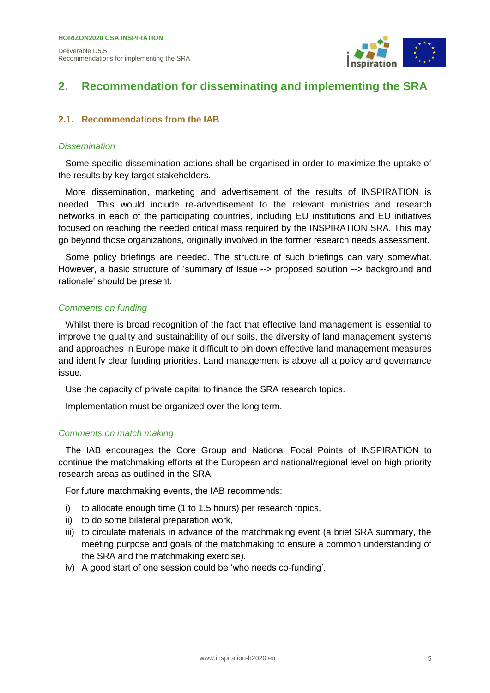

## <span id="page-4-0"></span>**2. Recommendation for disseminating and implementing the SRA**

#### <span id="page-4-1"></span>**2.1. Recommendations from the IAB**

#### <span id="page-4-2"></span>*Dissemination*

Some specific dissemination actions shall be organised in order to maximize the uptake of the results by key target stakeholders.

More dissemination, marketing and advertisement of the results of INSPIRATION is needed. This would include re-advertisement to the relevant ministries and research networks in each of the participating countries, including EU institutions and EU initiatives focused on reaching the needed critical mass required by the INSPIRATION SRA. This may go beyond those organizations, originally involved in the former research needs assessment.

Some policy briefings are needed. The structure of such briefings can vary somewhat. However, a basic structure of 'summary of issue --> proposed solution --> background and rationale' should be present.

#### <span id="page-4-3"></span>*Comments on funding*

Whilst there is broad recognition of the fact that effective land management is essential to improve the quality and sustainability of our soils, the diversity of land management systems and approaches in Europe make it difficult to pin down effective land management measures and identify clear funding priorities. Land management is above all a policy and governance issue.

Use the capacity of private capital to finance the SRA research topics.

Implementation must be organized over the long term.

#### <span id="page-4-4"></span>*Comments on match making*

The IAB encourages the Core Group and National Focal Points of INSPIRATION to continue the matchmaking efforts at the European and national/regional level on high priority research areas as outlined in the SRA.

For future matchmaking events, the IAB recommends:

- i) to allocate enough time (1 to 1.5 hours) per research topics,
- ii) to do some bilateral preparation work,
- iii) to circulate materials in advance of the matchmaking event (a brief SRA summary, the meeting purpose and goals of the matchmaking to ensure a common understanding of the SRA and the matchmaking exercise).
- iv) A good start of one session could be 'who needs co-funding'.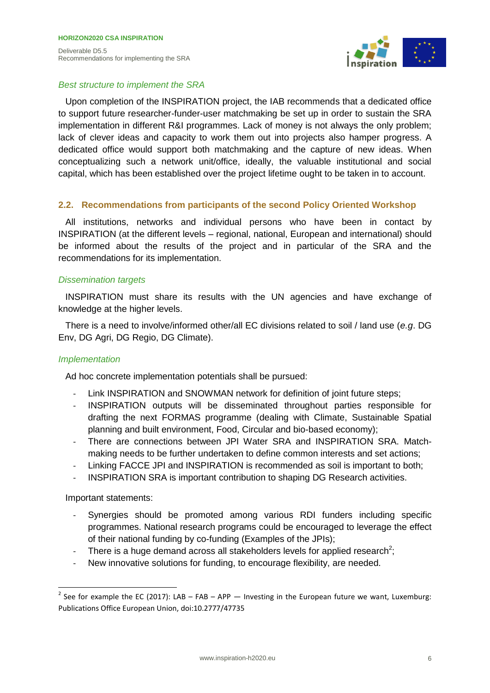

#### <span id="page-5-0"></span>*Best structure to implement the SRA*

Upon completion of the INSPIRATION project, the IAB recommends that a dedicated office to support future researcher-funder-user matchmaking be set up in order to sustain the SRA implementation in different R&I programmes. Lack of money is not always the only problem; lack of clever ideas and capacity to work them out into projects also hamper progress. A dedicated office would support both matchmaking and the capture of new ideas. When conceptualizing such a network unit/office, ideally, the valuable institutional and social capital, which has been established over the project lifetime ought to be taken in to account.

#### <span id="page-5-1"></span>**2.2. Recommendations from participants of the second Policy Oriented Workshop**

All institutions, networks and individual persons who have been in contact by INSPIRATION (at the different levels – regional, national, European and international) should be informed about the results of the project and in particular of the SRA and the recommendations for its implementation.

#### <span id="page-5-2"></span>*Dissemination targets*

INSPIRATION must share its results with the UN agencies and have exchange of knowledge at the higher levels.

There is a need to involve/informed other/all EC divisions related to soil / land use (*e.g*. DG Env, DG Agri, DG Regio, DG Climate).

#### <span id="page-5-3"></span>*Implementation*

Ad hoc concrete implementation potentials shall be pursued:

- Link INSPIRATION and SNOWMAN network for definition of joint future steps;
- INSPIRATION outputs will be disseminated throughout parties responsible for drafting the next FORMAS programme (dealing with Climate, Sustainable Spatial planning and built environment, Food, Circular and bio-based economy);
- There are connections between JPI Water SRA and INSPIRATION SRA. Matchmaking needs to be further undertaken to define common interests and set actions;
- Linking FACCE JPI and INSPIRATION is recommended as soil is important to both;
- INSPIRATION SRA is important contribution to shaping DG Research activities.

Important statements:

- Synergies should be promoted among various RDI funders including specific programmes. National research programs could be encouraged to leverage the effect of their national funding by co-funding (Examples of the JPIs);
- There is a huge demand across all stakeholders levels for applied research<sup>2</sup>;
- New innovative solutions for funding, to encourage flexibility, are needed.

<sup>&</sup>lt;sup>2</sup> See for example the EC (2017): LAB – FAB – APP — Investing in the European future we want, Luxemburg: Publications Office European Union, doi:10.2777/47735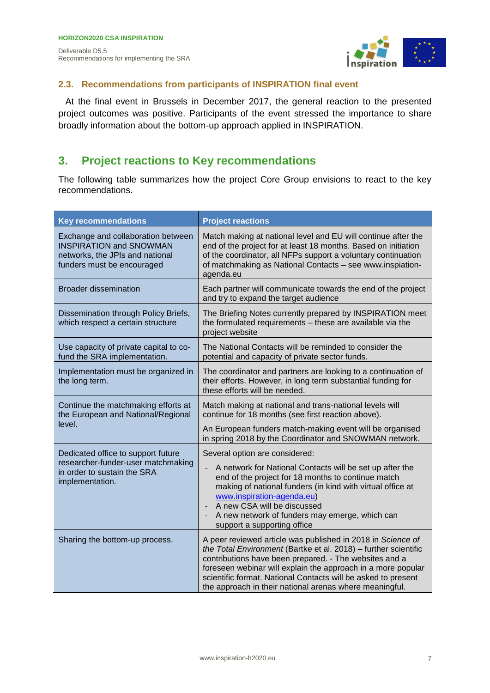

#### <span id="page-6-0"></span>**2.3. Recommendations from participants of INSPIRATION final event**

At the final event in Brussels in December 2017, the general reaction to the presented project outcomes was positive. Participants of the event stressed the importance to share broadly information about the bottom-up approach applied in INSPIRATION.

### <span id="page-6-1"></span>**3. Project reactions to Key recommendations**

The following table summarizes how the project Core Group envisions to react to the key recommendations.

| <b>Key recommendations</b>                                                                                                            | <b>Project reactions</b>                                                                                                                                                                                                                                                                                                                                                             |
|---------------------------------------------------------------------------------------------------------------------------------------|--------------------------------------------------------------------------------------------------------------------------------------------------------------------------------------------------------------------------------------------------------------------------------------------------------------------------------------------------------------------------------------|
| Exchange and collaboration between<br><b>INSPIRATION and SNOWMAN</b><br>networks, the JPIs and national<br>funders must be encouraged | Match making at national level and EU will continue after the<br>end of the project for at least 18 months. Based on initiation<br>of the coordinator, all NFPs support a voluntary continuation<br>of matchmaking as National Contacts - see www.inspiation-<br>agenda.eu                                                                                                           |
| <b>Broader dissemination</b>                                                                                                          | Each partner will communicate towards the end of the project<br>and try to expand the target audience                                                                                                                                                                                                                                                                                |
| Dissemination through Policy Briefs,<br>which respect a certain structure                                                             | The Briefing Notes currently prepared by INSPIRATION meet<br>the formulated requirements - these are available via the<br>project website                                                                                                                                                                                                                                            |
| Use capacity of private capital to co-<br>fund the SRA implementation.                                                                | The National Contacts will be reminded to consider the<br>potential and capacity of private sector funds.                                                                                                                                                                                                                                                                            |
| Implementation must be organized in<br>the long term.                                                                                 | The coordinator and partners are looking to a continuation of<br>their efforts. However, in long term substantial funding for<br>these efforts will be needed.                                                                                                                                                                                                                       |
| Continue the matchmaking efforts at<br>the European and National/Regional                                                             | Match making at national and trans-national levels will<br>continue for 18 months (see first reaction above).                                                                                                                                                                                                                                                                        |
| level.                                                                                                                                | An European funders match-making event will be organised<br>in spring 2018 by the Coordinator and SNOWMAN network.                                                                                                                                                                                                                                                                   |
| Dedicated office to support future<br>researcher-funder-user matchmaking<br>in order to sustain the SRA<br>implementation.            | Several option are considered:<br>A network for National Contacts will be set up after the<br>end of the project for 18 months to continue match<br>making of national funders (in kind with virtual office at<br>www.inspiration-agenda.eu)<br>A new CSA will be discussed<br>A new network of funders may emerge, which can<br>support a supporting office                         |
| Sharing the bottom-up process.                                                                                                        | A peer reviewed article was published in 2018 in Science of<br>the Total Environment (Bartke et al. 2018) - further scientific<br>contributions have been prepared. - The websites and a<br>foreseen webinar will explain the approach in a more popular<br>scientific format. National Contacts will be asked to present<br>the approach in their national arenas where meaningful. |